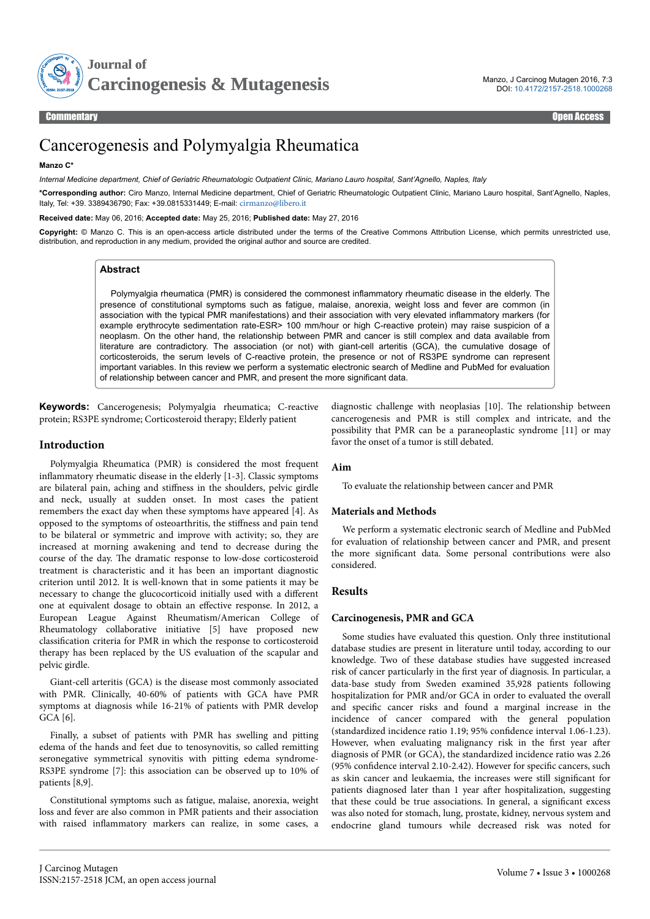

Commentary Open Access

# Cancerogenesis and Polymyalgia Rheumatica

# **Manzo C\***

*Internal Medicine department, Chief of Geriatric Rheumatologic Outpatient Clinic, Mariano Lauro hospital, Sant'Agnello, Naples, Italy*

**\*Corresponding author:** Ciro Manzo, Internal Medicine department, Chief of Geriatric Rheumatologic Outpatient Clinic, Mariano Lauro hospital, Sant'Agnello, Naples, Italy, Tel: +39. 3389436790; Fax: +39.0815331449; E-mail: [cirmanzo@libero.it](mailto:cirmanzo@libero.it)

**Received date:** May 06, 2016; **Accepted date:** May 25, 2016; **Published date:** May 27, 2016

**Copyright:** © Manzo C. This is an open-access article distributed under the terms of the Creative Commons Attribution License, which permits unrestricted use, distribution, and reproduction in any medium, provided the original author and source are credited.

# **Abstract**

Polymyalgia rheumatica (PMR) is considered the commonest inflammatory rheumatic disease in the elderly. The presence of constitutional symptoms such as fatigue, malaise, anorexia, weight loss and fever are common (in association with the typical PMR manifestations) and their association with very elevated inflammatory markers (for example erythrocyte sedimentation rate-ESR> 100 mm/hour or high C-reactive protein) may raise suspicion of a neoplasm. On the other hand, the relationship between PMR and cancer is still complex and data available from literature are contradictory. The association (or not) with giant-cell arteritis (GCA), the cumulative dosage of corticosteroids, the serum levels of C-reactive protein, the presence or not of RS3PE syndrome can represent important variables. In this review we perform a systematic electronic search of Medline and PubMed for evaluation of relationship between cancer and PMR, and present the more significant data.

**Keywords:** Cancerogenesis; Polymyalgia rheumatica; C-reactive protein; RS3PE syndrome; Corticosteroid therapy; Elderly patient

# **Introduction**

Polymyalgia Rheumatica (PMR) is considered the most frequent inflammatory rheumatic disease in the elderly [1-3]. Classic symptoms are bilateral pain, aching and stiffness in the shoulders, pelvic girdle and neck, usually at sudden onset. In most cases the patient remembers the exact day when these symptoms have appeared [4]. As opposed to the symptoms of osteoarthritis, the stiffness and pain tend to be bilateral or symmetric and improve with activity; so, they are increased at morning awakening and tend to decrease during the course of the day. Нe dramatic response to low-dose corticosteroid treatment is characteristic and it has been an important diagnostic criterion until 2012. It is well-known that in some patients it may be necessary to change the glucocorticoid initially used with a different one at equivalent dosage to obtain an effective response. In 2012, a European League Against Rheumatism/American College of Rheumatology collaborative initiative [5] have proposed new classification criteria for PMR in which the response to corticosteroid therapy has been replaced by the US evaluation of the scapular and pelvic girdle.

Giant-cell arteritis (GCA) is the disease most commonly associated with PMR. Clinically, 40-60% of patients with GCA have PMR symptoms at diagnosis while 16-21% of patients with PMR develop GCA [6].

Finally, a subset of patients with PMR has swelling and pitting edema of the hands and feet due to tenosynovitis, so called remitting seronegative symmetrical synovitis with pitting edema syndrome-RS3PE syndrome [7]: this association can be observed up to 10% of patients [8,9].

Constitutional symptoms such as fatigue, malaise, anorexia, weight loss and fever are also common in PMR patients and their association with raised inflammatory markers can realize, in some cases, a diagnostic challenge with neoplasias [10]. Нe relationship between cancerogenesis and PMR is still complex and intricate, and the possibility that PMR can be a paraneoplastic syndrome [11] or may favor the onset of a tumor is still debated.

# **Aim**

To evaluate the relationship between cancer and PMR

# **Materials and Methods**

We perform a systematic electronic search of Medline and PubMed for evaluation of relationship between cancer and PMR, and present the more significant data. Some personal contributions were also considered.

# **Results**

# **Carcinogenesis, PMR and GCA**

Some studies have evaluated this question. Only three institutional database studies are present in literature until today, according to our knowledge. Two of these database studies have suggested increased risk of cancer particularly in the first year of diagnosis. In particular, a data-base study from Sweden examined 35,928 patients following hospitalization for PMR and/or GCA in order to evaluated the overall and specific cancer risks and found a marginal increase in the incidence of cancer compared with the general population (standardized incidence ratio 1.19; 95% confidence interval 1.06-1.23). However, when evaluating malignancy risk in the first year after diagnosis of PMR (or GCA), the standardized incidence ratio was 2.26  $(95%$  confidence interval 2.10-2.42). However for specific cancers, such as skin cancer and leukaemia, the increases were still significant for patients diagnosed later than 1 year after hospitalization, suggesting that these could be true associations. In general, a significant excess was also noted for stomach, lung, prostate, kidney, nervous system and endocrine gland tumours while decreased risk was noted for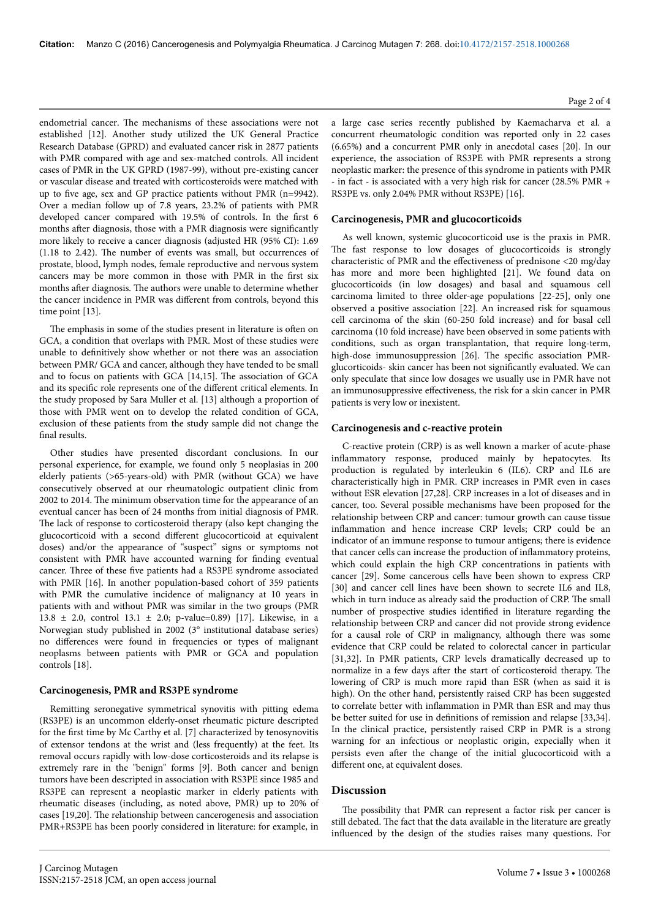endometrial cancer. Нe mechanisms of these associations were not established [12]. Another study utilized the UK General Practice Research Database (GPRD) and evaluated cancer risk in 2877 patients with PMR compared with age and sex-matched controls. All incident cases of PMR in the UK GPRD (1987-99), without pre-existing cancer or vascular disease and treated with corticosteroids were matched with up to five age, sex and GP practice patients without PMR (n=9942). Over a median follow up of 7.8 years, 23.2% of patients with PMR developed cancer compared with 19.5% of controls. In the first 6 months after diagnosis, those with a PMR diagnosis were significantly more likely to receive a cancer diagnosis (adjusted HR (95% CI): 1.69 (1.18 to 2.42). Нe number of events was small, but occurrences of prostate, blood, lymph nodes, female reproductive and nervous system cancers may be more common in those with PMR in the first six months after diagnosis. The authors were unable to determine whether the cancer incidence in PMR was different from controls, beyond this time point [13].

The emphasis in some of the studies present in literature is often on GCA, a condition that overlaps with PMR. Most of these studies were unable to definitively show whether or not there was an association between PMR/ GCA and cancer, although they have tended to be small and to focus on patients with GCA [14,15]. Нe association of GCA and its specific role represents one of the different critical elements. In the study proposed by Sara Muller et al. [13] although a proportion of those with PMR went on to develop the related condition of GCA, exclusion of these patients from the study sample did not change the final results.

Other studies have presented discordant conclusions. In our personal experience, for example, we found only 5 neoplasias in 200 elderly patients (>65-years-old) with PMR (without GCA) we have consecutively observed at our rheumatologic outpatient clinic from 2002 to 2014. Нe minimum observation time for the appearance of an eventual cancer has been of 24 months from initial diagnosis of PMR. The lack of response to corticosteroid therapy (also kept changing the glucocorticoid with a second different glucocorticoid at equivalent doses) and/or the appearance of "suspect" signs or symptoms not consistent with PMR have accounted warning for finding eventual cancer. Нree of these five patients had a RS3PE syndrome associated with PMR [16]. In another population-based cohort of 359 patients with PMR the cumulative incidence of malignancy at 10 years in patients with and without PMR was similar in the two groups (PMR 13.8 ± 2.0, control 13.1 ± 2.0; p-value=0.89) [17]. Likewise, in a Norwegian study published in 2002 (3° institutional database series) no differences were found in frequencies or types of malignant neoplasms between patients with PMR or GCA and population controls [18].

#### **Carcinogenesis, PMR and RS3PE syndrome**

Remitting seronegative symmetrical synovitis with pitting edema (RS3PE) is an uncommon elderly-onset rheumatic picture descripted for the first time by Mc Carthy et al. [7] characterized by tenosynovitis of extensor tendons at the wrist and (less frequently) at the feet. Its removal occurs rapidly with low-dose corticosteroids and its relapse is extremely rare in the "benign" forms [9]. Both cancer and benign tumors have been descripted in association with RS3PE since 1985 and RS3PE can represent a neoplastic marker in elderly patients with rheumatic diseases (including, as noted above, PMR) up to 20% of cases [19,20]. Нe relationship between cancerogenesis and association PMR+RS3PE has been poorly considered in literature: for example, in

a large case series recently published by Kaemacharva et al. a concurrent rheumatologic condition was reported only in 22 cases (6.65%) and a concurrent PMR only in anecdotal cases [20]. In our experience, the association of RS3PE with PMR represents a strong neoplastic marker: the presence of this syndrome in patients with PMR - in fact - is associated with a very high risk for cancer (28.5% PMR + RS3PE vs. only 2.04% PMR without RS3PE) [16].

## **Carcinogenesis, PMR and glucocorticoids**

As well known, systemic glucocorticoid use is the praxis in PMR. The fast response to low dosages of glucocorticoids is strongly characteristic of PMR and the effectiveness of prednisone  $\langle 20 \text{ mg}/\text{day} \rangle$ has more and more been highlighted [21]. We found data on glucocorticoids (in low dosages) and basal and squamous cell carcinoma limited to three older-age populations [22-25], only one observed a positive association [22]. An increased risk for squamous cell carcinoma of the skin (60-250 fold increase) and for basal cell carcinoma (10 fold increase) have been observed in some patients with conditions, such as organ transplantation, that require long-term, high-dose immunosuppression [26]. The specific association PMRglucorticoids- skin cancer has been not significantly evaluated. We can only speculate that since low dosages we usually use in PMR have not an immunosuppressive effectiveness, the risk for a skin cancer in PMR patients is very low or inexistent.

#### **Carcinogenesis and c-reactive protein**

C-reactive protein (CRP) is as well known a marker of acute-phase inflammatory response, produced mainly by hepatocytes. Its production is regulated by interleukin 6 (IL6). CRP and IL6 are characteristically high in PMR. CRP increases in PMR even in cases without ESR elevation [27,28]. CRP increases in a lot of diseases and in cancer, too. Several possible mechanisms have been proposed for the relationship between CRP and cancer: tumour growth can cause tissue inflammation and hence increase CRP levels; CRP could be an indicator of an immune response to tumour antigens; there is evidence that cancer cells can increase the production of inflammatory proteins, which could explain the high CRP concentrations in patients with cancer [29]. Some cancerous cells have been shown to express CRP [30] and cancer cell lines have been shown to secrete IL6 and IL8, which in turn induce as already said the production of CRP. Нe small number of prospective studies identified in literature regarding the relationship between CRP and cancer did not provide strong evidence for a causal role of CRP in malignancy, although there was some evidence that CRP could be related to colorectal cancer in particular [31,32]. In PMR patients, CRP levels dramatically decreased up to normalize in a few days after the start of corticosteroid therapy. The lowering of CRP is much more rapid than ESR (when as said it is high). On the other hand, persistently raised CRP has been suggested to correlate better with inflammation in PMR than ESR and may thus be better suited for use in definitions of remission and relapse [33,34]. In the clinical practice, persistently raised CRP in PMR is a strong warning for an infectious or neoplastic origin, expecially when it persists even after the change of the initial glucocorticoid with a different one, at equivalent doses.

#### **Discussion**

The possibility that PMR can represent a factor risk per cancer is still debated. Нe fact that the data available in the literature are greatly influenced by the design of the studies raises many questions. For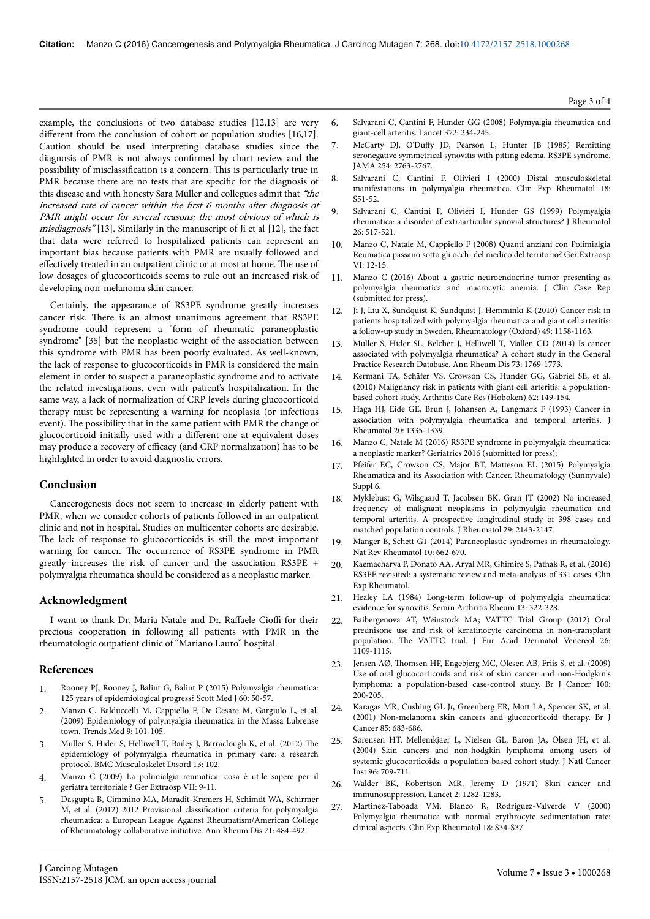example, the conclusions of two database studies [12,13] are very different from the conclusion of cohort or population studies  $[16,17]$ . Caution should be used interpreting database studies since the diagnosis of PMR is not always confirmed by chart review and the possibility of misclassification is a concern. This is particularly true in PMR because there are no tests that are specific for the diagnosis of this disease and with honesty Sara Muller and collegues admit that "the increased rate of cancer within the first  $6$  months after diagnosis of PMR might occur for several reasons; the most obvious of which is misdiagnosis" [13]. Similarly in the manuscript of Ji et al [12], the fact that data were referred to hospitalized patients can represent an important bias because patients with PMR are usually followed and effectively treated in an outpatient clinic or at most at home. The use of low dosages of glucocorticoids seems to rule out an increased risk of developing non-melanoma skin cancer.

Certainly, the appearance of RS3PE syndrome greatly increases cancer risk. Нere is an almost unanimous agreement that RS3PE syndrome could represent a "form of rheumatic paraneoplastic syndrome" [35] but the neoplastic weight of the association between this syndrome with PMR has been poorly evaluated. As well-known, the lack of response to glucocorticoids in PMR is considered the main element in order to suspect a paraneoplastic syndrome and to activate the related investigations, even with patient's hospitalization. In the same way, a lack of normalization of CRP levels during glucocorticoid therapy must be representing a warning for neoplasia (or infectious event). Нe possibility that in the same patient with PMR the change of glucocorticoid initially used with a different one at equivalent doses may produce a recovery of efficacy (and CRP normalization) has to be highlighted in order to avoid diagnostic errors.

# **Conclusion**

Cancerogenesis does not seem to increase in elderly patient with PMR, when we consider cohorts of patients followed in an outpatient clinic and not in hospital. Studies on multicenter cohorts are desirable. The lack of response to glucocorticoids is still the most important warning for cancer. Нe occurrence of RS3PE syndrome in PMR greatly increases the risk of cancer and the association RS3PE + polymyalgia rheumatica should be considered as a neoplastic marker.

## **Acknowledgment**

I want to thank Dr. Maria Natale and Dr. Raffaele Cioffi for their precious cooperation in following all patients with PMR in the rheumatologic outpatient clinic of "Mariano Lauro" hospital.

# **References**

- 1. [Rooney PJ, Rooney J, Balint G, Balint P \(2015\) Polymyalgia rheumatica:](http://www.ncbi.nlm.nih.gov/pubmed/25201886) [125 years of epidemiological progress? Scott Med J 60: 50-57.](http://www.ncbi.nlm.nih.gov/pubmed/25201886)
- 2. Manzo C, Balduccelli M, Cappiello F, De Cesare M, Gargiulo L, et al. (2009) Epidemiology of polymyalgia rheumatica in the Massa Lubrense town. Trends Med 9: 101-105.
- 3. [Muller S, Hider S, Helliwell T, Bailey J, Barraclough K, et al. \(2012\)](http://www.ncbi.nlm.nih.gov/pubmed/22703582) Нe [epidemiology of polymyalgia rheumatica in primary care: a research](http://www.ncbi.nlm.nih.gov/pubmed/22703582) [protocol. BMC Musculoskelet Disord 13: 102.](http://www.ncbi.nlm.nih.gov/pubmed/22703582)
- 4. Manzo C (2009) La polimialgia reumatica: cosa è utile sapere per il geriatra territoriale ? Ger Extraosp VII: 9-11.
- 5. [Dasgupta B, Cimmino MA, Maradit-Kremers H, Schimdt WA, Schirmer](http://www.ncbi.nlm.nih.gov/pubmed/22388996) [M, et al. \(2012\) 2012 Provisional](http://www.ncbi.nlm.nih.gov/pubmed/22388996) classification criteria for polymyalgia [rheumatica: a European League Against Rheumatism/American College](http://www.ncbi.nlm.nih.gov/pubmed/22388996) [of Rheumatology collaborative initiative. Ann Rheum Dis 71: 484-492.](http://www.ncbi.nlm.nih.gov/pubmed/22388996)
- 6. [Salvarani C, Cantini F, Hunder GG \(2008\) Polymyalgia rheumatica and](http://www.ncbi.nlm.nih.gov/pubmed/18640460) [giant-cell arteritis. Lancet 372: 234-245.](http://www.ncbi.nlm.nih.gov/pubmed/18640460)
- 7. McCarty DJ, O'Duffy [JD, Pearson L, Hunter JB \(1985\) Remitting](http://www.ncbi.nlm.nih.gov/pubmed/4057484) [seronegative symmetrical synovitis with pitting edema. RS3PE syndrome.](http://www.ncbi.nlm.nih.gov/pubmed/4057484) [JAMA 254: 2763-2767.](http://www.ncbi.nlm.nih.gov/pubmed/4057484)
- 8. [Salvarani C, Cantini F, Olivieri I \(2000\) Distal musculoskeletal](http://www.ncbi.nlm.nih.gov/pubmed/10948763) [manifestations in polymyalgia rheumatica. Clin Exp Rheumatol 18:](http://www.ncbi.nlm.nih.gov/pubmed/10948763) [S51-52.](http://www.ncbi.nlm.nih.gov/pubmed/10948763)
- 9. [Salvarani C, Cantini F, Olivieri I, Hunder GS \(1999\) Polymyalgia](http://www.ncbi.nlm.nih.gov/pubmed/10090155) [rheumatica: a disorder of extraarticular synovial structures? J Rheumatol](http://www.ncbi.nlm.nih.gov/pubmed/10090155) [26: 517-521.](http://www.ncbi.nlm.nih.gov/pubmed/10090155)
- 10. Manzo C, Natale M, Cappiello F (2008) Quanti anziani con Polimialgia Reumatica passano sotto gli occhi del medico del territorio? Ger Extraosp VI: 12-15.
- 11. Manzo C (2016) About a gastric neuroendocrine tumor presenting as polymyalgia rheumatica and macrocytic anemia. J Clin Case Rep (submitted for press).
- 12. [Ji J, Liu X, Sundquist K, Sundquist J, Hemminki K \(2010\) Cancer risk in](http://www.ncbi.nlm.nih.gov/pubmed/20299378) [patients hospitalized with polymyalgia rheumatica and giant cell arteritis:](http://www.ncbi.nlm.nih.gov/pubmed/20299378) [a follow-up study in Sweden. Rheumatology \(Oxford\) 49: 1158-1163.](http://www.ncbi.nlm.nih.gov/pubmed/20299378)
- 13. [Muller S, Hider SL, Belcher J, Helliwell T, Mallen CD \(2014\) Is cancer](http://www.ncbi.nlm.nih.gov/pubmed/23842460) [associated with polymyalgia rheumatica? A cohort study in the General](http://www.ncbi.nlm.nih.gov/pubmed/23842460) [Practice Research Database. Ann Rheum Dis 73: 1769-1773.](http://www.ncbi.nlm.nih.gov/pubmed/23842460)
- 14. [Kermani TA, Schäfer VS, Crowson CS, Hunder GG, Gabriel SE, et al.](http://www.ncbi.nlm.nih.gov/pubmed/20191512) [\(2010\) Malignancy risk in patients with giant cell arteritis: a population](http://www.ncbi.nlm.nih.gov/pubmed/20191512)[based cohort study. Arthritis Care Res \(Hoboken\) 62: 149-154.](http://www.ncbi.nlm.nih.gov/pubmed/20191512)
- 15. [Haga HJ, Eide GE, Brun J, Johansen A, Langmark F \(1993\) Cancer in](http://www.ncbi.nlm.nih.gov/pubmed/8230015) [association with polymyalgia rheumatica and temporal arteritis. J](http://www.ncbi.nlm.nih.gov/pubmed/8230015) [Rheumatol 20: 1335-1339.](http://www.ncbi.nlm.nih.gov/pubmed/8230015)
- 16. Manzo C, Natale M (2016) RS3PE syndrome in polymyalgia rheumatica: a neoplastic marker? Geriatrics 2016 (submitted for press);
- 17. [Pfeifer EC, Crowson CS, Major BT, Matteson EL \(2015\) Polymyalgia](http://www.ncbi.nlm.nih.gov/pubmed/26688777) [Rheumatica and its Association with Cancer. Rheumatology \(Sunnyvale\)](http://www.ncbi.nlm.nih.gov/pubmed/26688777) [Suppl 6.](http://www.ncbi.nlm.nih.gov/pubmed/26688777)
- 18. [Myklebust G, Wilsgaard T, Jacobsen BK, Gran JT \(2002\) No increased](http://www.ncbi.nlm.nih.gov/pubmed/12375324) [frequency of malignant neoplasms in polymyalgia rheumatica and](http://www.ncbi.nlm.nih.gov/pubmed/12375324) [temporal arteritis. A prospective longitudinal study of 398 cases and](http://www.ncbi.nlm.nih.gov/pubmed/12375324) [matched population controls. J Rheumatol 29: 2143-2147.](http://www.ncbi.nlm.nih.gov/pubmed/12375324)
- 19. [Manger B, Schett G1 \(2014\) Paraneoplastic syndromes in rheumatology.](http://www.ncbi.nlm.nih.gov/pubmed/25136782) [Nat Rev Rheumatol 10: 662-670.](http://www.ncbi.nlm.nih.gov/pubmed/25136782)
- 20. [Kaemacharva P, Donato AA, Aryal MR, Ghimire S, Pathak R, et al. \(2016\)](http://www.ncbi.nlm.nih.gov/pubmed/27050250) [RS3PE revisited: a systematic review and meta-analysis of 331 cases. Clin](http://www.ncbi.nlm.nih.gov/pubmed/27050250) [Exp Rheumatol.](http://www.ncbi.nlm.nih.gov/pubmed/27050250)
- 21. [Healey LA \(1984\) Long-term follow-up of polymyalgia rheumatica:](http://www.ncbi.nlm.nih.gov/pubmed/6729485) [evidence for synovitis. Semin Arthritis Rheum 13: 322-328.](http://www.ncbi.nlm.nih.gov/pubmed/6729485)
- 22. [Baibergenova AT, Weinstock MA; VATTC Trial Group \(2012\) Oral](http://www.ncbi.nlm.nih.gov/pubmed/21923839) [prednisone use and risk of keratinocyte carcinoma in non-transplant](http://www.ncbi.nlm.nih.gov/pubmed/21923839) population. The [VATTC trial. J Eur Acad Dermatol Venereol 26:](http://www.ncbi.nlm.nih.gov/pubmed/21923839) [1109-1115.](http://www.ncbi.nlm.nih.gov/pubmed/21923839)
- 23. Jensen AØ, Нomsen [HF, Engebjerg MC, Olesen AB, Friis S, et al. \(2009\)](http://www.ncbi.nlm.nih.gov/pubmed/19034275) [Use of oral glucocorticoids and risk of skin cancer and non-Hodgkin's](http://www.ncbi.nlm.nih.gov/pubmed/19034275) [lymphoma: a population-based case-control study. Br J Cancer 100:](http://www.ncbi.nlm.nih.gov/pubmed/19034275) [200-205.](http://www.ncbi.nlm.nih.gov/pubmed/19034275)
- 24. [Karagas MR, Cushing GL Jr, Greenberg ER, Mott LA, Spencer SK, et al.](http://www.ncbi.nlm.nih.gov/pubmed/11531252) [\(2001\) Non-melanoma skin cancers and glucocorticoid therapy. Br J](http://www.ncbi.nlm.nih.gov/pubmed/11531252) [Cancer 85: 683-686.](http://www.ncbi.nlm.nih.gov/pubmed/11531252)
- 25. [Sørensen HT, Mellemkjaer L, Nielsen GL, Baron JA, Olsen JH, et al.](http://www.ncbi.nlm.nih.gov/pubmed/15126608) [\(2004\) Skin cancers and non-hodgkin lymphoma among users of](http://www.ncbi.nlm.nih.gov/pubmed/15126608) [systemic glucocorticoids: a population-based cohort study. J Natl Cancer](http://www.ncbi.nlm.nih.gov/pubmed/15126608) [Inst 96: 709-711.](http://www.ncbi.nlm.nih.gov/pubmed/15126608)
- 26. [Walder BK, Robertson MR, Jeremy D \(1971\) Skin cancer and](http://www.ncbi.nlm.nih.gov/pubmed/4143536) [immunosuppression. Lancet 2: 1282-1283.](http://www.ncbi.nlm.nih.gov/pubmed/4143536)
- 27. [Martinez-Taboada VM, Blanco R, Rodriguez-Valverde V \(2000\)](http://www.ncbi.nlm.nih.gov/pubmed/10948758) [Polymyalgia rheumatica with normal erythrocyte sedimentation rate:](http://www.ncbi.nlm.nih.gov/pubmed/10948758) [clinical aspects. Clin Exp Rheumatol 18: S34-S37.](http://www.ncbi.nlm.nih.gov/pubmed/10948758)